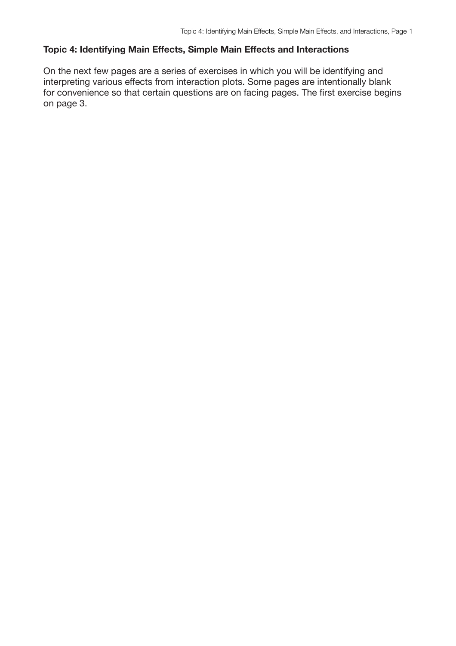On the next few pages are a series of exercises in which you will be identifying and interpreting various effects from interaction plots. Some pages are intentionally blank for convenience so that certain questions are on facing pages. The first exercise begins on page 3.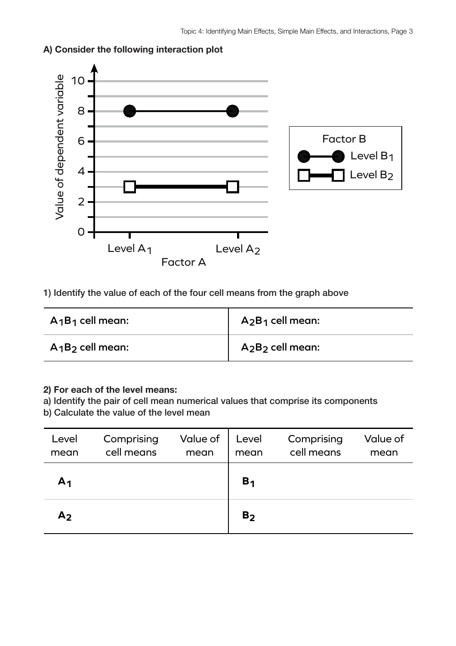

## **A) Consider the following interaction plot**

1) Identify the value of each of the four cell means from the graph above

| $A_1B_1$ cell mean: | $A_2B_1$ cell mean:                      |
|---------------------|------------------------------------------|
| $A_1B_2$ cell mean: | A <sub>2</sub> B <sub>2</sub> cell mean: |

### **2) For each of the level means:**

a) Identify the pair of cell mean numerical values that comprise its components

| Level<br>mean  | Comprising<br>cell means | Value of<br>mean | Level<br>mean  | Comprising<br>cell means | Value of<br>mean |
|----------------|--------------------------|------------------|----------------|--------------------------|------------------|
| A <sub>1</sub> |                          |                  | B <sub>1</sub> |                          |                  |
| A <sub>2</sub> |                          |                  | B <sub>2</sub> |                          |                  |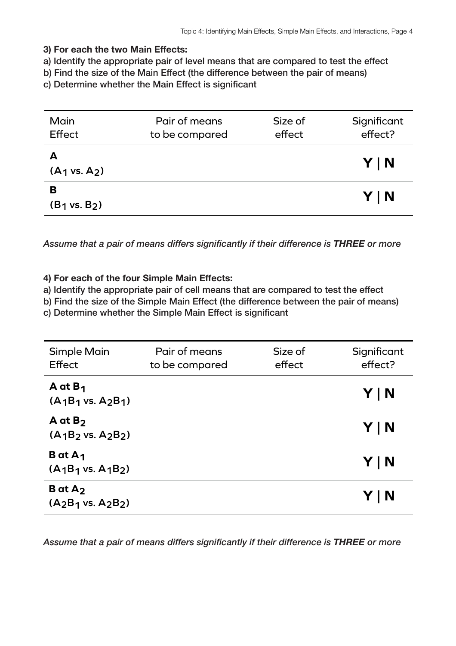a) Identify the appropriate pair of level means that are compared to test the effect

b) Find the size of the Main Effect (the difference between the pair of means)

c) Determine whether the Main Effect is significant

| Main<br>Effect                | Pair of means<br>to be compared | Size of<br>effect | Significant<br>effect? |
|-------------------------------|---------------------------------|-------------------|------------------------|
| A<br>$(A_1 \text{ vs. } A_2)$ |                                 |                   | YIN                    |
| в<br>$(B_1 \text{ vs. } B_2)$ |                                 |                   | YIN                    |

*Assume that a pair of means differs significantly if their difference is THREE or more*

## **4) For each of the four Simple Main Effects:**

a) Identify the appropriate pair of cell means that are compared to test the effect

b) Find the size of the Simple Main Effect (the difference between the pair of means)

c) Determine whether the Simple Main Effect is significant

| <b>Simple Main</b><br>Effect                        | Pair of means<br>to be compared | Size of<br>effect | Significant<br>effect? |
|-----------------------------------------------------|---------------------------------|-------------------|------------------------|
| A at $B_1$<br>$(A_1B_1 \text{ vs. } A_2B_1)$        |                                 |                   | Y   N                  |
| $A$ at $B2$<br>$(A_1B_2 \text{ vs. } A_2B_2)$       |                                 |                   | Y   N                  |
| <b>B</b> at $A_1$<br>$(A_1B_1 \text{ vs. } A_1B_2)$ |                                 |                   | Y   N                  |
| $B$ at $A_2$<br>$(A_2B_1 \text{ vs. } A_2B_2)$      |                                 |                   | Y   N                  |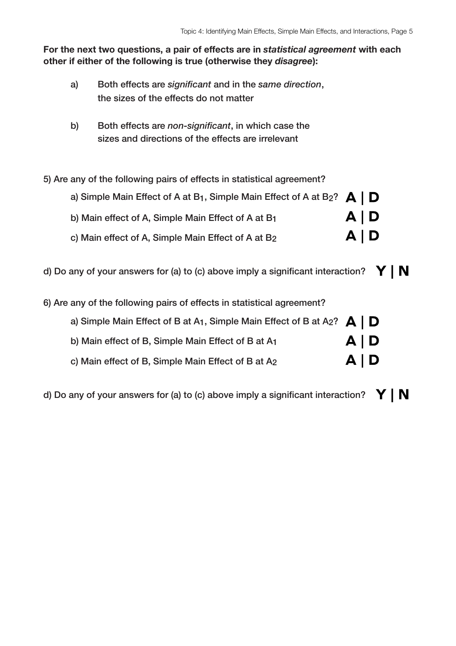- a) Both effects are *significant* and in the *same direction*, the sizes of the effects do not matter
- b) Both effects are *non-significant*, in which case the sizes and directions of the effects are irrelevant
- 5) Are any of the following pairs of effects in statistical agreement?

| a) Simple Main Effect of A at B <sub>1</sub> , Simple Main Effect of A at B <sub>2</sub> ? $\bigtriangleup \bigtriangledown$ |       |  |
|------------------------------------------------------------------------------------------------------------------------------|-------|--|
| b) Main effect of A, Simple Main Effect of A at B1                                                                           | A   D |  |
| c) Main effect of A, Simple Main Effect of A at B2                                                                           | A   D |  |

- d) Do any of your answers for (a) to (c) above imply a significant interaction?  $\mathbf{Y} \mid \mathbf{N}$
- 6) Are any of the following pairs of effects in statistical agreement?

| a) Simple Main Effect of B at A <sub>1</sub> , Simple Main Effect of B at A <sub>2</sub> ? $\mathbf{A} \mid \mathbf{D}$ |       |  |
|-------------------------------------------------------------------------------------------------------------------------|-------|--|
| b) Main effect of B, Simple Main Effect of B at A1                                                                      | A   D |  |
| c) Main effect of B, Simple Main Effect of B at A2                                                                      | A   D |  |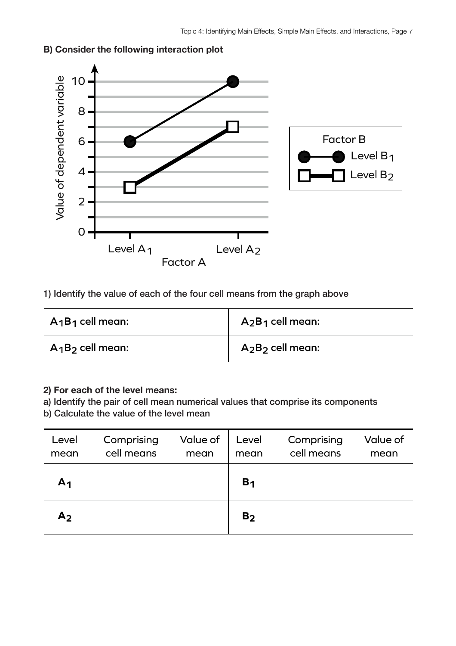

## **B) Consider the following interaction plot**

1) Identify the value of each of the four cell means from the graph above

| $A_1B_1$ cell mean: | $A_2B_1$ cell mean: |
|---------------------|---------------------|
| $A_1B_2$ cell mean: | $A_2B_2$ cell mean: |

# **2) For each of the level means:**

a) Identify the pair of cell mean numerical values that comprise its components

| Level<br>mean  | Comprising<br>cell means | Value of<br>mean | Level<br>mean  | Comprising<br>cell means | Value of<br>mean |
|----------------|--------------------------|------------------|----------------|--------------------------|------------------|
| А1             |                          |                  | B <sub>1</sub> |                          |                  |
| A <sub>2</sub> |                          |                  | B <sub>2</sub> |                          |                  |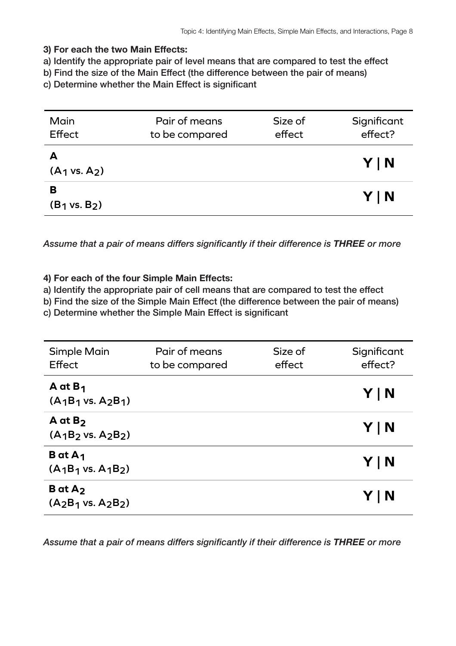a) Identify the appropriate pair of level means that are compared to test the effect

b) Find the size of the Main Effect (the difference between the pair of means)

c) Determine whether the Main Effect is significant

| Main<br>Effect                | Pair of means<br>to be compared | Size of<br>effect | Significant<br>effect? |
|-------------------------------|---------------------------------|-------------------|------------------------|
| A<br>$(A_1 \text{ vs. } A_2)$ |                                 |                   | YIN                    |
| в<br>$(B_1 \text{ vs. } B_2)$ |                                 |                   | YIN                    |

*Assume that a pair of means differs significantly if their difference is THREE or more*

## **4) For each of the four Simple Main Effects:**

a) Identify the appropriate pair of cell means that are compared to test the effect

b) Find the size of the Simple Main Effect (the difference between the pair of means)

c) Determine whether the Simple Main Effect is significant

| <b>Simple Main</b><br>Effect                        | Pair of means<br>to be compared | Size of<br>effect | Significant<br>effect? |
|-----------------------------------------------------|---------------------------------|-------------------|------------------------|
| A at $B_1$<br>$(A_1B_1 \text{ vs. } A_2B_1)$        |                                 |                   | Y   N                  |
| $A$ at $B2$<br>$(A_1B_2 \text{ vs. } A_2B_2)$       |                                 |                   | Y   N                  |
| <b>B</b> at $A_1$<br>$(A_1B_1 \text{ vs. } A_1B_2)$ |                                 |                   | Y   N                  |
| $B$ at $A_2$<br>$(A_2B_1 \text{ vs. } A_2B_2)$      |                                 |                   | Y   N                  |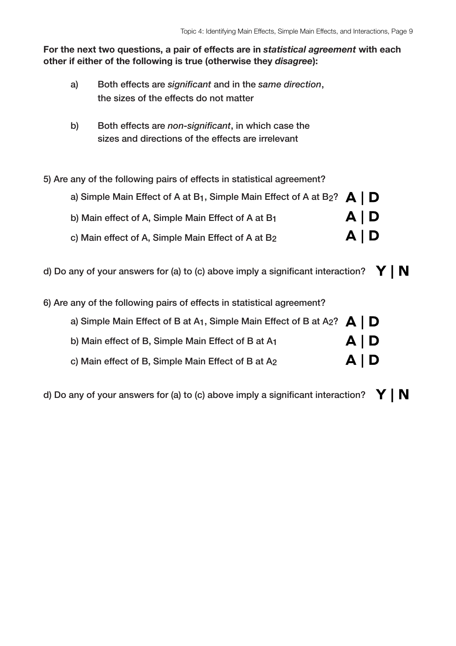- a) Both effects are *significant* and in the *same direction*, the sizes of the effects do not matter
- b) Both effects are *non-significant*, in which case the sizes and directions of the effects are irrelevant
- 5) Are any of the following pairs of effects in statistical agreement?

| a) Simple Main Effect of A at B <sub>1</sub> , Simple Main Effect of A at B <sub>2</sub> ? $\bigtriangleup \bigtriangledown$ |       |  |
|------------------------------------------------------------------------------------------------------------------------------|-------|--|
| b) Main effect of A, Simple Main Effect of A at B1                                                                           | A   D |  |
| c) Main effect of A, Simple Main Effect of A at B2                                                                           | A   D |  |

- d) Do any of your answers for (a) to (c) above imply a significant interaction?  $\mathbf{Y} \mid \mathbf{N}$
- 6) Are any of the following pairs of effects in statistical agreement?

| a) Simple Main Effect of B at A <sub>1</sub> , Simple Main Effect of B at A <sub>2</sub> ? $\mathbf{A} \mid \mathbf{D}$ |       |  |
|-------------------------------------------------------------------------------------------------------------------------|-------|--|
| b) Main effect of B, Simple Main Effect of B at A1                                                                      | A   D |  |
| c) Main effect of B, Simple Main Effect of B at A2                                                                      | A   D |  |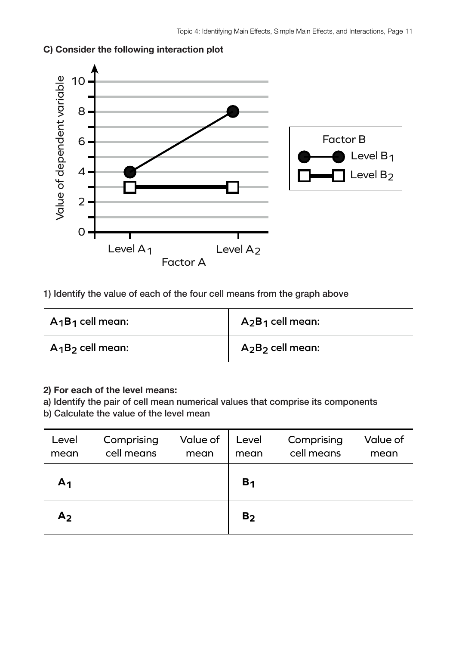

# **C) Consider the following interaction plot**

1) Identify the value of each of the four cell means from the graph above

| $A_1B_1$ cell mean: | $A_2B_1$ cell mean: |
|---------------------|---------------------|
| $A_1B_2$ cell mean: | $A_2B_2$ cell mean: |

## **2) For each of the level means:**

a) Identify the pair of cell mean numerical values that comprise its components

| Level<br>mean  | Comprising<br>cell means | Value of<br>mean | Level<br>mean  | Comprising<br>cell means | Value of<br>mean |
|----------------|--------------------------|------------------|----------------|--------------------------|------------------|
| A <sub>1</sub> |                          |                  | B <sub>1</sub> |                          |                  |
| A <sub>2</sub> |                          |                  | B <sub>2</sub> |                          |                  |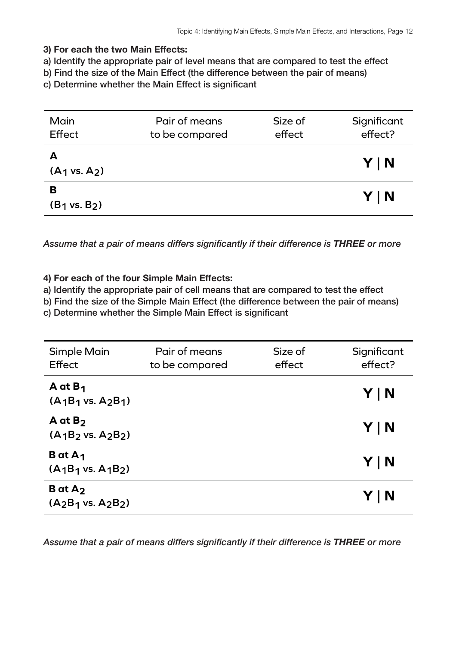a) Identify the appropriate pair of level means that are compared to test the effect

b) Find the size of the Main Effect (the difference between the pair of means)

c) Determine whether the Main Effect is significant

| Main<br>Effect                | Pair of means<br>to be compared | Size of<br>effect | Significant<br>effect? |
|-------------------------------|---------------------------------|-------------------|------------------------|
| $(A_1 \text{ vs. } A_2)$      |                                 |                   | YIN                    |
| в<br>$(B_1 \text{ vs. } B_2)$ |                                 |                   | YIN                    |

*Assume that a pair of means differs significantly if their difference is THREE or more*

### **4) For each of the four Simple Main Effects:**

a) Identify the appropriate pair of cell means that are compared to test the effect

b) Find the size of the Simple Main Effect (the difference between the pair of means)

c) Determine whether the Simple Main Effect is significant

| <b>Simple Main</b><br>Effect                        | Pair of means<br>to be compared | Size of<br>effect | Significant<br>effect? |
|-----------------------------------------------------|---------------------------------|-------------------|------------------------|
| A at $B_1$<br>$(A_1B_1 \text{ vs. } A_2B_1)$        |                                 |                   | Y   N                  |
| $A$ at $B_2$<br>$(A_1B_2 \text{ vs. } A_2B_2)$      |                                 |                   | Y   N                  |
| <b>B</b> at $A_1$<br>$(A_1B_1 \text{ vs. } A_1B_2)$ |                                 |                   | Y   N                  |
| $B$ at $A_2$<br>$(A_2B_1 \text{ vs. } A_2B_2)$      |                                 |                   | Y   N                  |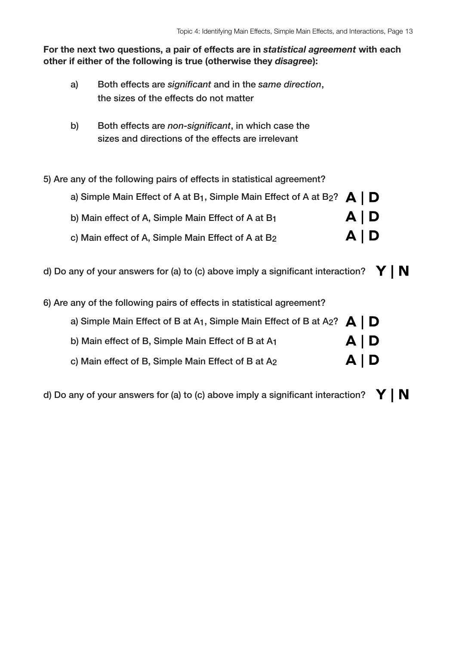- a) Both effects are *significant* and in the *same direction*, the sizes of the effects do not matter
- b) Both effects are *non-significant*, in which case the sizes and directions of the effects are irrelevant
- 5) Are any of the following pairs of effects in statistical agreement?

| a) Simple Main Effect of A at B <sub>1</sub> , Simple Main Effect of A at B <sub>2</sub> ? $\bigtriangleup \bigtriangledown$ |       |  |
|------------------------------------------------------------------------------------------------------------------------------|-------|--|
| b) Main effect of A, Simple Main Effect of A at B1                                                                           | A   D |  |
| c) Main effect of A, Simple Main Effect of A at B2                                                                           | A   D |  |

- d) Do any of your answers for (a) to (c) above imply a significant interaction?  $\mathbf{Y} \mid \mathbf{N}$
- 6) Are any of the following pairs of effects in statistical agreement?

| a) Simple Main Effect of B at A <sub>1</sub> , Simple Main Effect of B at A <sub>2</sub> ? $\blacktriangle$   D |       |  |
|-----------------------------------------------------------------------------------------------------------------|-------|--|
| b) Main effect of B, Simple Main Effect of B at A1                                                              | A   D |  |
| c) Main effect of B, Simple Main Effect of B at A2                                                              | A   D |  |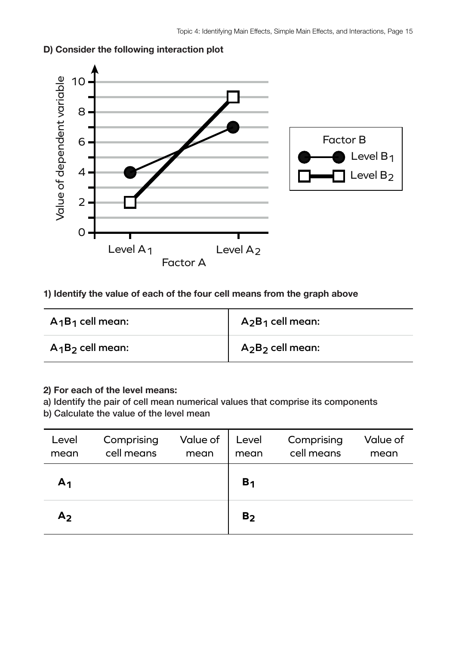

# **D) Consider the following interaction plot**

# **1) Identify the value of each of the four cell means from the graph above**

| $A_1B_1$ cell mean: | $A_2B_1$ cell mean: |
|---------------------|---------------------|
| $A_1B_2$ cell mean: | $A_2B_2$ cell mean: |

## **2) For each of the level means:**

a) Identify the pair of cell mean numerical values that comprise its components

| Level<br>mean  | Comprising<br>cell means | Value of<br>mean | Level<br>mean  | Comprising<br>cell means | Value of<br>mean |
|----------------|--------------------------|------------------|----------------|--------------------------|------------------|
| А1             |                          |                  | B <sub>1</sub> |                          |                  |
| A <sub>2</sub> |                          |                  | B <sub>2</sub> |                          |                  |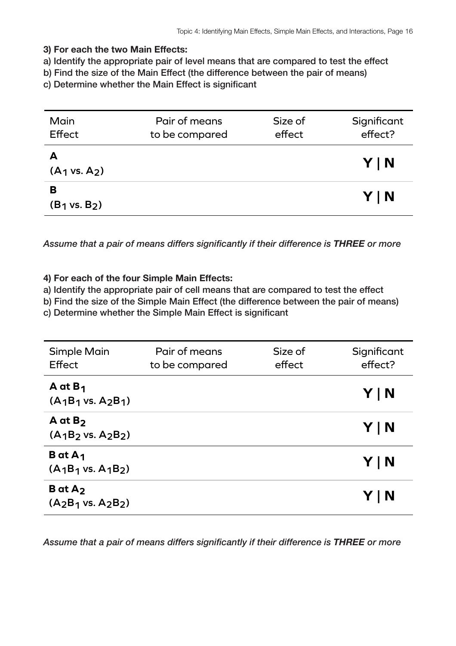a) Identify the appropriate pair of level means that are compared to test the effect

b) Find the size of the Main Effect (the difference between the pair of means)

c) Determine whether the Main Effect is significant

| Main<br>Effect                | Pair of means<br>to be compared | Size of<br>effect | Significant<br>effect? |
|-------------------------------|---------------------------------|-------------------|------------------------|
| А<br>$(A_1 \text{ vs. } A_2)$ |                                 |                   | YIN                    |
| в<br>$(B_1 \text{ vs. } B_2)$ |                                 |                   | YIN                    |

*Assume that a pair of means differs significantly if their difference is THREE or more*

### **4) For each of the four Simple Main Effects:**

a) Identify the appropriate pair of cell means that are compared to test the effect

b) Find the size of the Simple Main Effect (the difference between the pair of means)

c) Determine whether the Simple Main Effect is significant

| <b>Simple Main</b><br>Effect                        | Pair of means<br>to be compared | Size of<br>effect | Significant<br>effect? |
|-----------------------------------------------------|---------------------------------|-------------------|------------------------|
| A at $B_1$<br>$(A_1B_1 \text{ vs. } A_2B_1)$        |                                 |                   | Y   N                  |
| $A$ at $B_2$<br>$(A_1B_2 \text{ vs. } A_2B_2)$      |                                 |                   | Y   N                  |
| <b>B</b> at $A_1$<br>$(A_1B_1 \text{ vs. } A_1B_2)$ |                                 |                   | Y   N                  |
| $B$ at $A_2$<br>$(A_2B_1 \text{ vs. } A_2B_2)$      |                                 |                   | Y   N                  |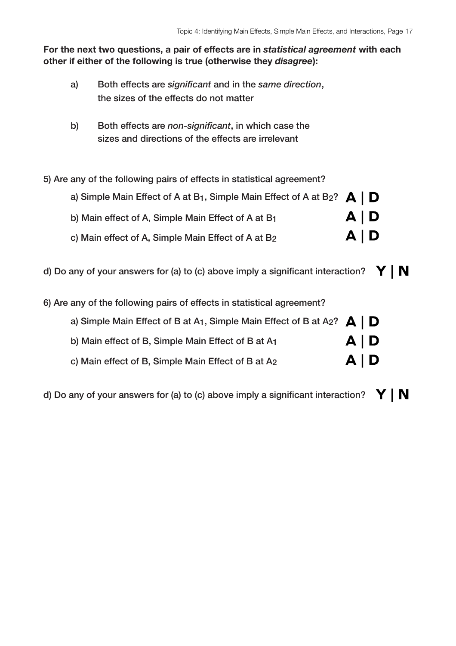- a) Both effects are *significant* and in the *same direction*, the sizes of the effects do not matter
- b) Both effects are *non-significant*, in which case the sizes and directions of the effects are irrelevant
- 5) Are any of the following pairs of effects in statistical agreement?

| a) Simple Main Effect of A at B <sub>1</sub> , Simple Main Effect of A at B <sub>2</sub> ? $\bigtriangleup \bigtriangledown$ |       |  |
|------------------------------------------------------------------------------------------------------------------------------|-------|--|
| b) Main effect of A, Simple Main Effect of A at B1                                                                           | A   D |  |
| c) Main effect of A, Simple Main Effect of A at B2                                                                           | A   D |  |

- d) Do any of your answers for (a) to (c) above imply a significant interaction?  $\mathbf{Y} \mid \mathbf{N}$
- 6) Are any of the following pairs of effects in statistical agreement?

| a) Simple Main Effect of B at A <sub>1</sub> , Simple Main Effect of B at A <sub>2</sub> ? $\mathbf{A} \mid \mathbf{D}$ |       |  |
|-------------------------------------------------------------------------------------------------------------------------|-------|--|
| b) Main effect of B, Simple Main Effect of B at A1                                                                      | A   D |  |
| c) Main effect of B, Simple Main Effect of B at A2                                                                      | A   D |  |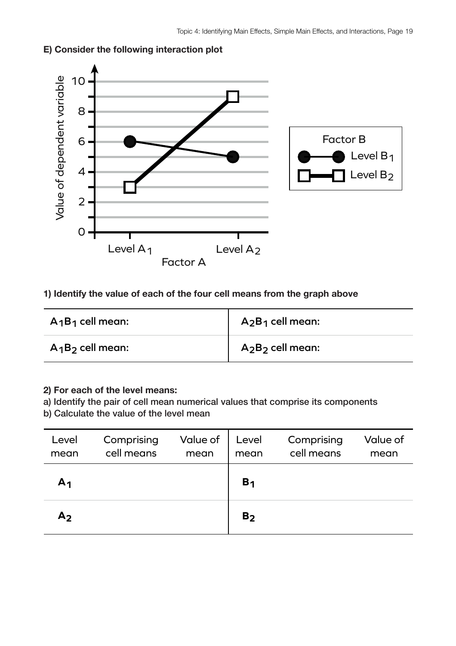

# **E) Consider the following interaction plot**

# **1) Identify the value of each of the four cell means from the graph above**

| $A_1B_1$ cell mean: | $A_2B_1$ cell mean: |
|---------------------|---------------------|
| $A_1B_2$ cell mean: | $A_2B_2$ cell mean: |

## **2) For each of the level means:**

a) Identify the pair of cell mean numerical values that comprise its components

| Level<br>mean  | Comprising<br>cell means | Value of<br>mean | Level<br>mean  | Comprising<br>cell means | Value of<br>mean |
|----------------|--------------------------|------------------|----------------|--------------------------|------------------|
| А1             |                          |                  | B <sub>1</sub> |                          |                  |
| A <sub>2</sub> |                          |                  | B <sub>2</sub> |                          |                  |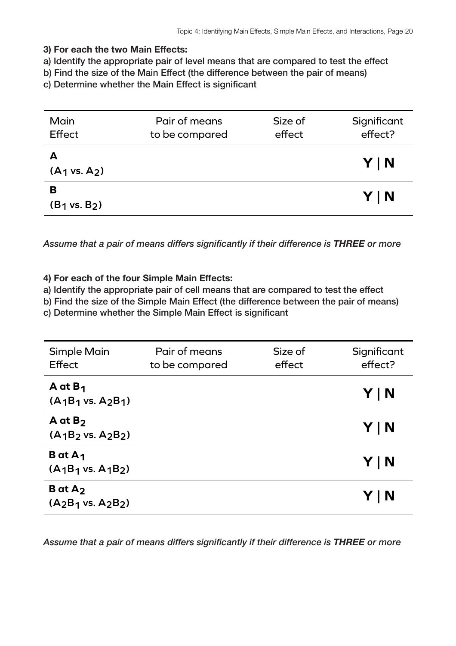a) Identify the appropriate pair of level means that are compared to test the effect

b) Find the size of the Main Effect (the difference between the pair of means)

c) Determine whether the Main Effect is significant

| Main<br>Effect                | Pair of means<br>to be compared | Size of<br>effect | Significant<br>effect? |
|-------------------------------|---------------------------------|-------------------|------------------------|
| A<br>$(A_1 \text{ vs. } A_2)$ |                                 |                   | YIN                    |
| в<br>$(B_1 \text{ vs. } B_2)$ |                                 |                   | YIN                    |

*Assume that a pair of means differs significantly if their difference is THREE or more*

### **4) For each of the four Simple Main Effects:**

a) Identify the appropriate pair of cell means that are compared to test the effect

b) Find the size of the Simple Main Effect (the difference between the pair of means)

c) Determine whether the Simple Main Effect is significant

| <b>Simple Main</b><br>Effect                        | Pair of means<br>to be compared | Size of<br>effect | Significant<br>effect? |
|-----------------------------------------------------|---------------------------------|-------------------|------------------------|
| A at $B_1$<br>$(A_1B_1 \text{ vs. } A_2B_1)$        |                                 |                   | Y   N                  |
| $A$ at $B_2$<br>$(A_1B_2 \text{ vs. } A_2B_2)$      |                                 |                   | Y   N                  |
| <b>B</b> at $A_1$<br>$(A_1B_1 \text{ vs. } A_1B_2)$ |                                 |                   | Y   N                  |
| $B$ at $A_2$<br>$(A_2B_1 \text{ vs. } A_2B_2)$      |                                 |                   | Y   N                  |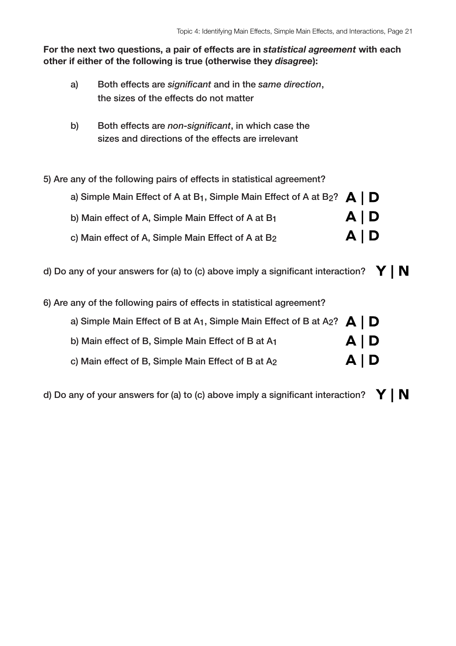- a) Both effects are *significant* and in the *same direction*, the sizes of the effects do not matter
- b) Both effects are *non-significant*, in which case the sizes and directions of the effects are irrelevant
- 5) Are any of the following pairs of effects in statistical agreement?

| a) Simple Main Effect of A at B <sub>1</sub> , Simple Main Effect of A at B <sub>2</sub> ? $\bigtriangleup \bigtriangledown$ |       |  |
|------------------------------------------------------------------------------------------------------------------------------|-------|--|
| b) Main effect of A, Simple Main Effect of A at B1                                                                           | A   D |  |
| c) Main effect of A, Simple Main Effect of A at B2                                                                           | A   D |  |

- d) Do any of your answers for (a) to (c) above imply a significant interaction?  $\mathbf{Y} \mid \mathbf{N}$
- 6) Are any of the following pairs of effects in statistical agreement?

| a) Simple Main Effect of B at A <sub>1</sub> , Simple Main Effect of B at A <sub>2</sub> ? $\mathbf{A} \mid \mathbf{D}$ |       |  |
|-------------------------------------------------------------------------------------------------------------------------|-------|--|
| b) Main effect of B, Simple Main Effect of B at A1                                                                      | A   D |  |
| c) Main effect of B, Simple Main Effect of B at A2                                                                      | A   D |  |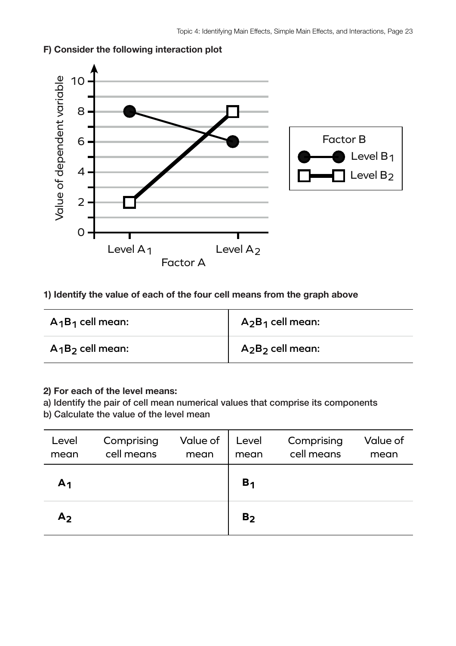

# **F) Consider the following interaction plot**

# **1) Identify the value of each of the four cell means from the graph above**

| $A_1B_1$ cell mean: | $A_2B_1$ cell mean: |
|---------------------|---------------------|
| $A_1B_2$ cell mean: | $A_2B_2$ cell mean: |

### **2) For each of the level means:**

a) Identify the pair of cell mean numerical values that comprise its components

| Level<br>mean  | Comprising<br>cell means | Value of<br>mean | Level<br>mean  | Comprising<br>cell means | Value of<br>mean |
|----------------|--------------------------|------------------|----------------|--------------------------|------------------|
| А1             |                          |                  | B <sub>1</sub> |                          |                  |
| A <sub>2</sub> |                          |                  | B <sub>2</sub> |                          |                  |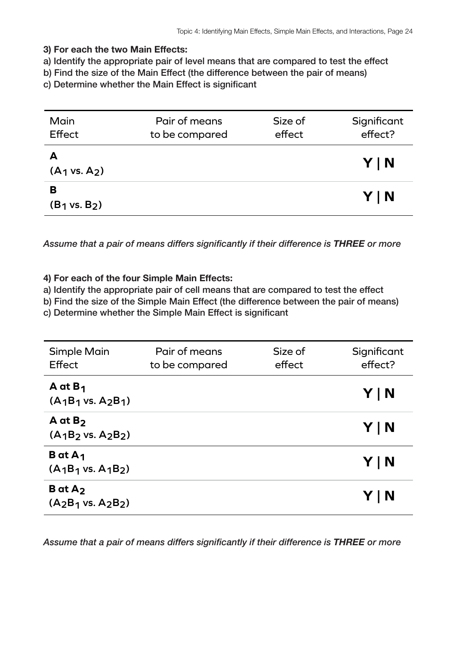a) Identify the appropriate pair of level means that are compared to test the effect

b) Find the size of the Main Effect (the difference between the pair of means)

c) Determine whether the Main Effect is significant

| Main<br>Effect                | Pair of means<br>to be compared | Size of<br>effect | Significant<br>effect? |
|-------------------------------|---------------------------------|-------------------|------------------------|
| $(A_1 \text{ vs. } A_2)$      |                                 |                   | YIN                    |
| в<br>$(B_1 \text{ vs. } B_2)$ |                                 |                   | YIN                    |

*Assume that a pair of means differs significantly if their difference is THREE or more*

### **4) For each of the four Simple Main Effects:**

a) Identify the appropriate pair of cell means that are compared to test the effect

b) Find the size of the Simple Main Effect (the difference between the pair of means)

c) Determine whether the Simple Main Effect is significant

| <b>Simple Main</b><br>Effect                        | Pair of means<br>to be compared | Size of<br>effect | Significant<br>effect? |
|-----------------------------------------------------|---------------------------------|-------------------|------------------------|
| A at $B_1$<br>$(A_1B_1 \text{ vs. } A_2B_1)$        |                                 |                   | Y   N                  |
| $A$ at $B_2$<br>$(A_1B_2 \text{ vs. } A_2B_2)$      |                                 |                   | Y   N                  |
| <b>B</b> at $A_1$<br>$(A_1B_1 \text{ vs. } A_1B_2)$ |                                 |                   | Y   N                  |
| $B$ at $A_2$<br>$(A_2B_1 \text{ vs. } A_2B_2)$      |                                 |                   | Y   N                  |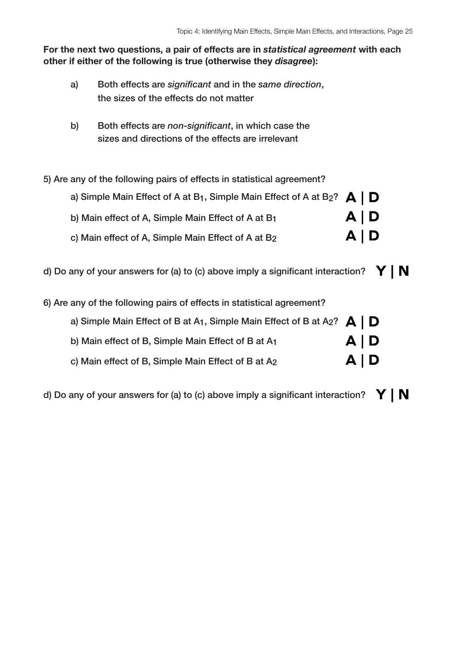- a) Both effects are *significant* and in the *same direction*, the sizes of the effects do not matter
- b) Both effects are *non-significant*, in which case the sizes and directions of the effects are irrelevant
- 5) Are any of the following pairs of effects in statistical agreement?

| a) Simple Main Effect of A at B <sub>1</sub> , Simple Main Effect of A at B <sub>2</sub> ? $\bigtriangleup \bigtriangledown$ |       |  |
|------------------------------------------------------------------------------------------------------------------------------|-------|--|
| b) Main effect of A, Simple Main Effect of A at B1                                                                           | A   D |  |
| c) Main effect of A, Simple Main Effect of A at B2                                                                           | A   D |  |

- d) Do any of your answers for (a) to (c) above imply a significant interaction?  $\mathbf{Y} \mid \mathbf{N}$
- 6) Are any of the following pairs of effects in statistical agreement?

| a) Simple Main Effect of B at A <sub>1</sub> , Simple Main Effect of B at A <sub>2</sub> ? $\mathbf{A} \mid \mathbf{D}$ |       |  |
|-------------------------------------------------------------------------------------------------------------------------|-------|--|
| b) Main effect of B, Simple Main Effect of B at A1                                                                      | A   D |  |
| c) Main effect of B, Simple Main Effect of B at A2                                                                      | A   D |  |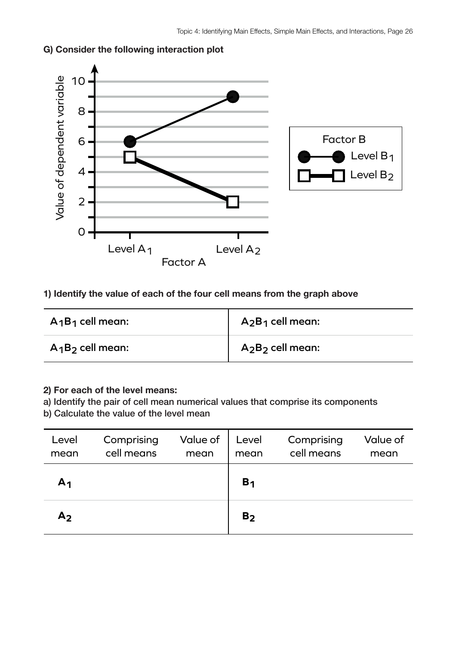

# **G) Consider the following interaction plot**

# **1) Identify the value of each of the four cell means from the graph above**

| $A_1B_1$ cell mean: | $A_2B_1$ cell mean: |
|---------------------|---------------------|
| $A_1B_2$ cell mean: | $A_2B_2$ cell mean: |

## **2) For each of the level means:**

a) Identify the pair of cell mean numerical values that comprise its components

| Level<br>mean  | Comprising<br>cell means | Value of<br>mean | Level<br>mean  | Comprising<br>cell means | Value of<br>mean |
|----------------|--------------------------|------------------|----------------|--------------------------|------------------|
| А1             |                          |                  | B <sub>1</sub> |                          |                  |
| A <sub>2</sub> |                          |                  | B <sub>2</sub> |                          |                  |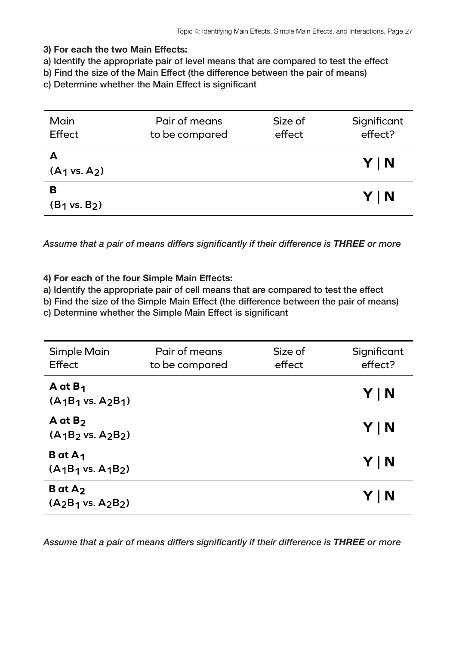a) Identify the appropriate pair of level means that are compared to test the effect

b) Find the size of the Main Effect (the difference between the pair of means)

c) Determine whether the Main Effect is significant

| Main<br>Effect                | Pair of means<br>to be compared | Size of<br>effect | Significant<br>effect? |
|-------------------------------|---------------------------------|-------------------|------------------------|
| А<br>$(A_1 \text{ vs. } A_2)$ |                                 |                   | YIN                    |
| в<br>$(B_1 \text{ vs. } B_2)$ |                                 |                   | YIN                    |

*Assume that a pair of means differs significantly if their difference is THREE or more*

### **4) For each of the four Simple Main Effects:**

a) Identify the appropriate pair of cell means that are compared to test the effect

b) Find the size of the Simple Main Effect (the difference between the pair of means)

c) Determine whether the Simple Main Effect is significant

| <b>Simple Main</b><br>Effect                        | Pair of means<br>to be compared | Size of<br>effect | Significant<br>effect? |
|-----------------------------------------------------|---------------------------------|-------------------|------------------------|
| A at $B_1$<br>$(A_1B_1 \text{ vs. } A_2B_1)$        |                                 |                   | Y   N                  |
| $A$ at $B2$<br>$(A_1B_2 \text{ vs. } A_2B_2)$       |                                 |                   | Y   N                  |
| <b>B</b> at $A_1$<br>$(A_1B_1 \text{ vs. } A_1B_2)$ |                                 |                   | Y   N                  |
| $B$ at $A_2$<br>$(A_2B_1 \text{ vs. } A_2B_2)$      |                                 |                   | Y   N                  |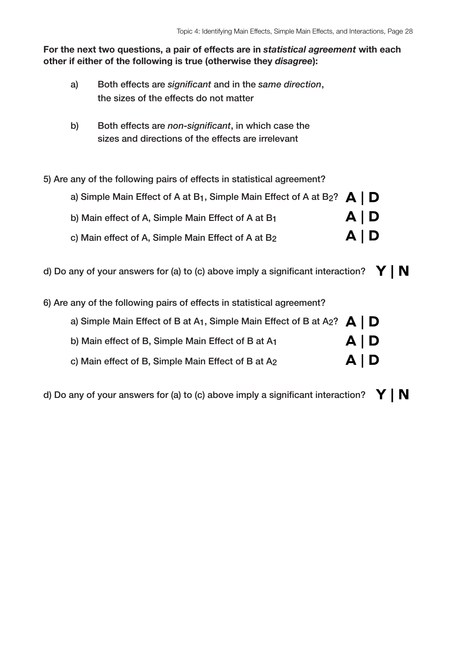- a) Both effects are *significant* and in the *same direction*, the sizes of the effects do not matter
- b) Both effects are *non-significant*, in which case the sizes and directions of the effects are irrelevant
- 5) Are any of the following pairs of effects in statistical agreement?

| a) Simple Main Effect of A at B <sub>1</sub> , Simple Main Effect of A at B <sub>2</sub> ? $\bigtriangleup \bigtriangledown$ |       |  |
|------------------------------------------------------------------------------------------------------------------------------|-------|--|
| b) Main effect of A, Simple Main Effect of A at B1                                                                           | A   D |  |
| c) Main effect of A, Simple Main Effect of A at B2                                                                           | A   D |  |

- d) Do any of your answers for (a) to (c) above imply a significant interaction?  $\mathbf{Y} \mid \mathbf{N}$
- 6) Are any of the following pairs of effects in statistical agreement?

| a) Simple Main Effect of B at A <sub>1</sub> , Simple Main Effect of B at A <sub>2</sub> ? $\mathbf{A} \mid \mathbf{D}$ |       |  |
|-------------------------------------------------------------------------------------------------------------------------|-------|--|
| b) Main effect of B, Simple Main Effect of B at A1                                                                      | A   D |  |
| c) Main effect of B, Simple Main Effect of B at A2                                                                      | A   D |  |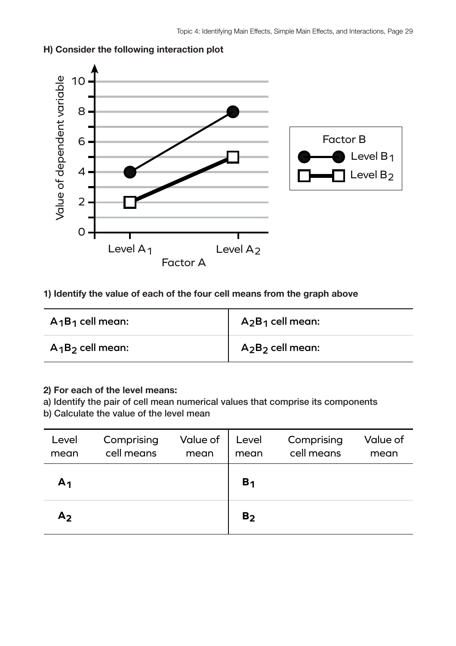

# **H) Consider the following interaction plot**

# **1) Identify the value of each of the four cell means from the graph above**

| $A_1B_1$ cell mean: | $A_2B_1$ cell mean: |
|---------------------|---------------------|
| $A_1B_2$ cell mean: | $A_2B_2$ cell mean: |

## **2) For each of the level means:**

a) Identify the pair of cell mean numerical values that comprise its components

| Level<br>mean  | Comprising<br>cell means | Value of<br>mean | Level<br>mean  | Comprising<br>cell means | Value of<br>mean |
|----------------|--------------------------|------------------|----------------|--------------------------|------------------|
| A <sub>1</sub> |                          |                  | B <sub>1</sub> |                          |                  |
| A <sub>2</sub> |                          |                  | B <sub>2</sub> |                          |                  |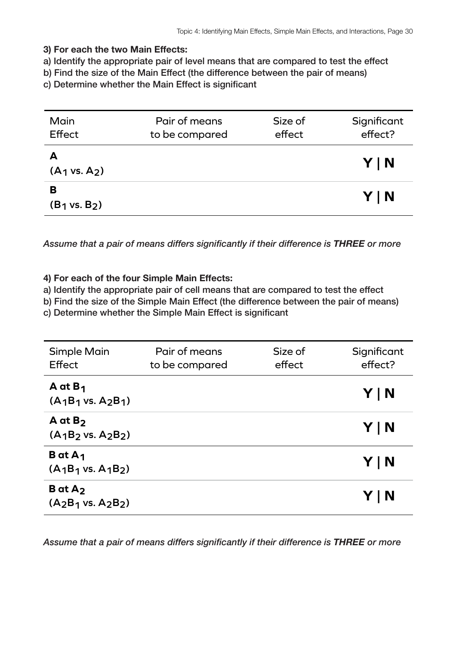a) Identify the appropriate pair of level means that are compared to test the effect

b) Find the size of the Main Effect (the difference between the pair of means)

c) Determine whether the Main Effect is significant

| Main<br>Effect                | Pair of means<br>to be compared | Size of<br>effect | Significant<br>effect? |
|-------------------------------|---------------------------------|-------------------|------------------------|
| A<br>$(A_1 \text{ vs. } A_2)$ |                                 |                   | YIN                    |
| в<br>$(B_1 \text{ vs. } B_2)$ |                                 |                   | YIN                    |

*Assume that a pair of means differs significantly if their difference is THREE or more*

### **4) For each of the four Simple Main Effects:**

a) Identify the appropriate pair of cell means that are compared to test the effect

b) Find the size of the Simple Main Effect (the difference between the pair of means)

c) Determine whether the Simple Main Effect is significant

| <b>Simple Main</b><br>Effect                        | Pair of means<br>to be compared | Size of<br>effect | Significant<br>effect? |
|-----------------------------------------------------|---------------------------------|-------------------|------------------------|
| A at $B_1$<br>$(A_1B_1 \text{ vs. } A_2B_1)$        |                                 |                   | Y   N                  |
| $A$ at $B_2$<br>$(A_1B_2 \text{ vs. } A_2B_2)$      |                                 |                   | Y   N                  |
| <b>B</b> at $A_1$<br>$(A_1B_1 \text{ vs. } A_1B_2)$ |                                 |                   | Y   N                  |
| $B$ at $A_2$<br>$(A_2B_1 \text{ vs. } A_2B_2)$      |                                 |                   | Y   N                  |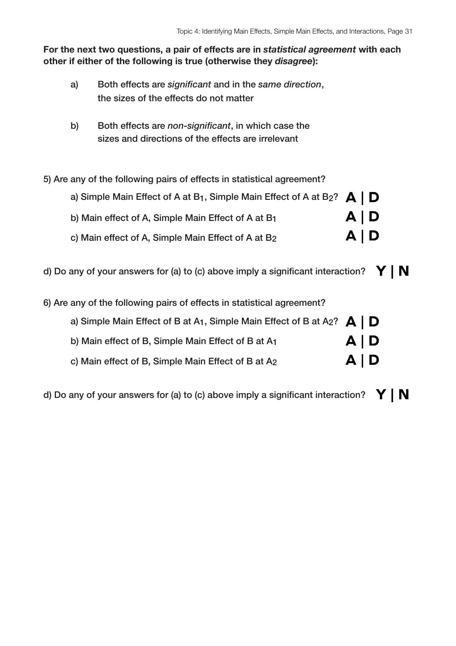- a) Both effects are *significant* and in the *same direction*, the sizes of the effects do not matter
- b) Both effects are *non-significant*, in which case the sizes and directions of the effects are irrelevant
- 5) Are any of the following pairs of effects in statistical agreement?

| a) Simple Main Effect of A at B <sub>1</sub> , Simple Main Effect of A at B <sub>2</sub> ? $\bigtriangleup \bigtriangledown$ |       |  |
|------------------------------------------------------------------------------------------------------------------------------|-------|--|
| b) Main effect of A, Simple Main Effect of A at B1                                                                           | A   D |  |
| c) Main effect of A, Simple Main Effect of A at B2                                                                           | A   D |  |

- d) Do any of your answers for (a) to (c) above imply a significant interaction?  $\mathbf{Y} \mid \mathbf{N}$
- 6) Are any of the following pairs of effects in statistical agreement?

| a) Simple Main Effect of B at A <sub>1</sub> , Simple Main Effect of B at A <sub>2</sub> ? $\mathbf{A} \mid \mathbf{D}$ |            |  |
|-------------------------------------------------------------------------------------------------------------------------|------------|--|
| b) Main effect of B, Simple Main Effect of B at A1                                                                      | A   D      |  |
| c) Main effect of B, Simple Main Effect of B at A2                                                                      | $A \mid D$ |  |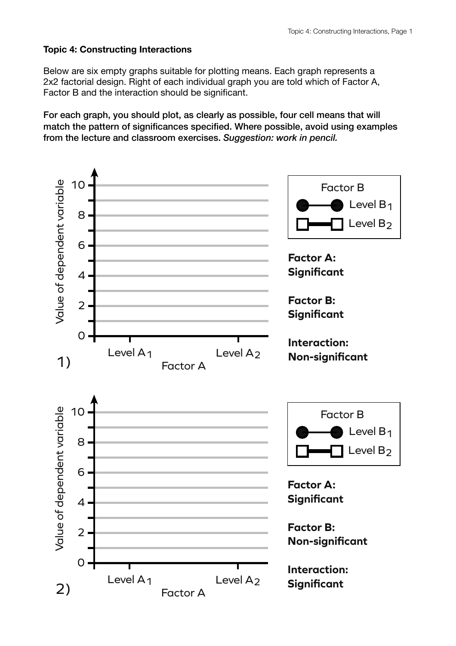# **Topic 4: Constructing Interactions**

Below are six empty graphs suitable for plotting means. Each graph represents a 2x2 factorial design. Right of each individual graph you are told which of Factor A, Factor B and the interaction should be significant.

For each graph, you should plot, as clearly as possible, four cell means that will match the pattern of significances specified. Where possible, avoid using examples from the lecture and classroom exercises. *Suggestion: work in pencil.*

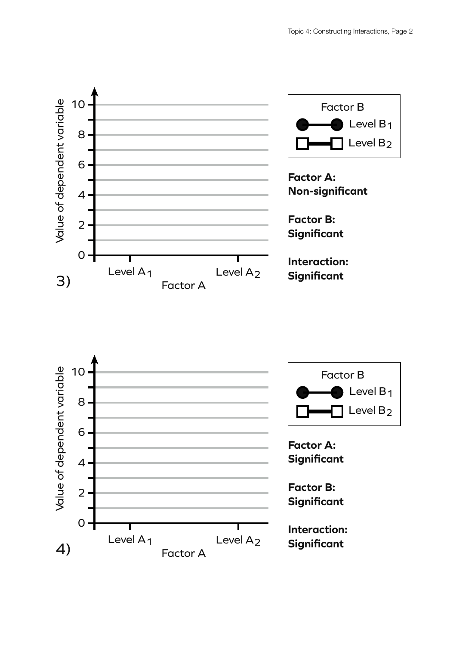